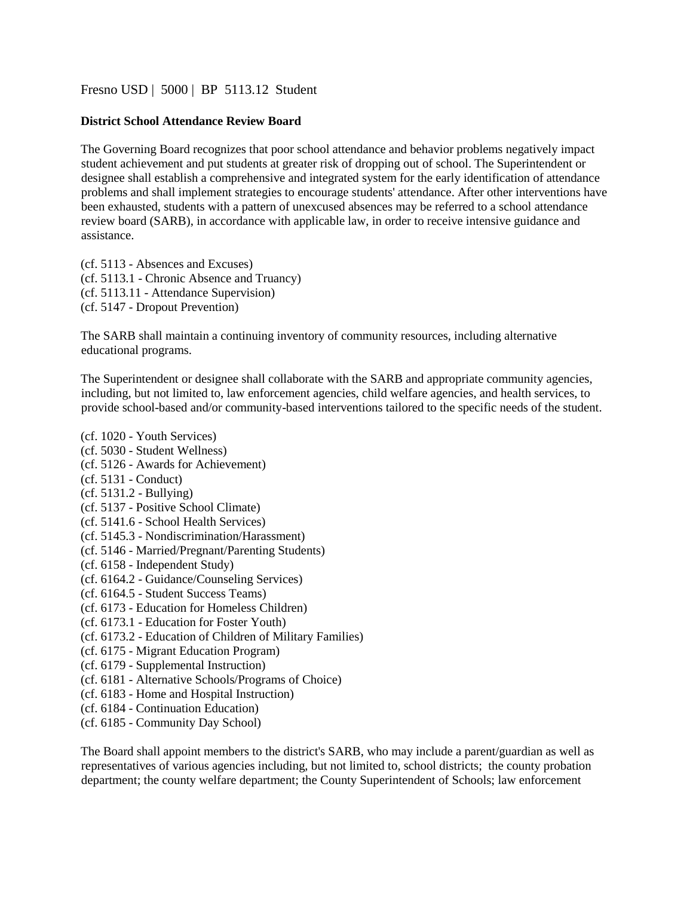[Fresno USD |](http://www.fresnounified.org/board/policies/Policies/fusd/loaddistrictpolicy/1050.htm) [5000](http://www.fresnounified.org/board/policies/Policies/fusd/policycategorylist/1050/1.htm) [|](http://www.fresnounified.org/board/policies/Policies/fusd/policycategorylist/1050/1.htm) BP 5113.12 Student

## **District School Attendance Review Board**

The Governing Board recognizes that poor school attendance and behavior problems negatively impact student achievement and put students at greater risk of dropping out of school. The Superintendent or designee shall establish a comprehensive and integrated system for the early identification of attendance problems and shall implement strategies to encourage students' attendance. After other interventions have been exhausted, students with a pattern of unexcused absences may be referred to a school attendance review board (SARB), in accordance with applicable law, in order to receive intensive guidance and assistance.

(cf. 5113 - Absences and Excuses) (cf. 5113.1 - Chronic Absence and Truancy) (cf. 5113.11 - Attendance Supervision) (cf. 5147 - Dropout Prevention)

The SARB shall maintain a continuing inventory of community resources, including alternative educational programs.

The Superintendent or designee shall collaborate with the SARB and appropriate community agencies, including, but not limited to, law enforcement agencies, child welfare agencies, and health services, to provide school-based and/or community-based interventions tailored to the specific needs of the student.

- (cf. 1020 Youth Services)
- (cf. 5030 Student Wellness)
- (cf. 5126 Awards for Achievement)
- (cf. 5131 Conduct)
- (cf. 5131.2 Bullying)
- (cf. 5137 Positive School Climate)
- (cf. 5141.6 School Health Services)
- (cf. 5145.3 Nondiscrimination/Harassment)
- (cf. 5146 Married/Pregnant/Parenting Students)
- (cf. 6158 Independent Study)
- (cf. 6164.2 Guidance/Counseling Services)
- (cf. 6164.5 Student Success Teams)
- (cf. 6173 Education for Homeless Children)
- (cf. 6173.1 Education for Foster Youth)
- (cf. 6173.2 Education of Children of Military Families)
- (cf. 6175 Migrant Education Program)
- (cf. 6179 Supplemental Instruction)
- (cf. 6181 Alternative Schools/Programs of Choice)
- (cf. 6183 Home and Hospital Instruction)
- (cf. 6184 Continuation Education)
- (cf. 6185 Community Day School)

The Board shall appoint members to the district's SARB, who may include a parent/guardian as well as representatives of various agencies including, but not limited to, school districts; the county probation department; the county welfare department; the County Superintendent of Schools; law enforcement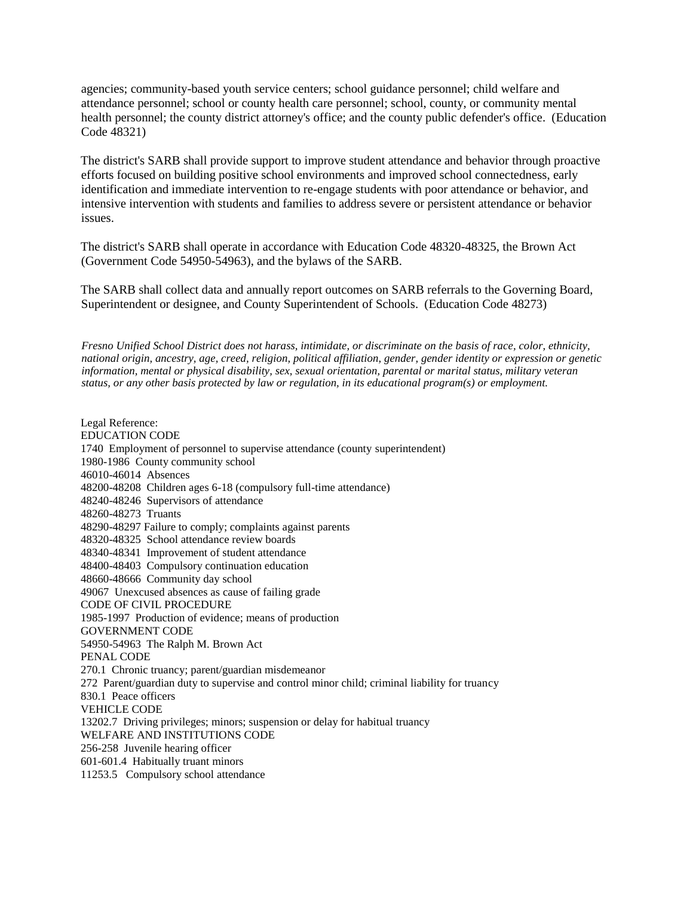agencies; community-based youth service centers; school guidance personnel; child welfare and attendance personnel; school or county health care personnel; school, county, or community mental health personnel; the county district attorney's office; and the county public defender's office. (Education Code 48321)

The district's SARB shall provide support to improve student attendance and behavior through proactive efforts focused on building positive school environments and improved school connectedness, early identification and immediate intervention to re-engage students with poor attendance or behavior, and intensive intervention with students and families to address severe or persistent attendance or behavior issues.

The district's SARB shall operate in accordance with Education Code 48320-48325, the Brown Act (Government Code 54950-54963), and the bylaws of the SARB.

The SARB shall collect data and annually report outcomes on SARB referrals to the Governing Board, Superintendent or designee, and County Superintendent of Schools. (Education Code 48273)

*Fresno Unified School District does not harass, intimidate, or discriminate on the basis of race, color, ethnicity, national origin, ancestry, age, creed, religion, political affiliation, gender, gender identity or expression or genetic information, mental or physical disability, sex, sexual orientation, parental or marital status, military veteran status, or any other basis protected by law or regulation, in its educational program(s) or employment.*

Legal Reference: EDUCATION CODE 1740 Employment of personnel to supervise attendance (county superintendent) 1980-1986 County community school 46010-46014 Absences 48200-48208 Children ages 6-18 (compulsory full-time attendance) 48240-48246 Supervisors of attendance 48260-48273 Truants 48290-48297 Failure to comply; complaints against parents 48320-48325 School attendance review boards 48340-48341 Improvement of student attendance 48400-48403 Compulsory continuation education 48660-48666 Community day school 49067 Unexcused absences as cause of failing grade CODE OF CIVIL PROCEDURE 1985-1997 Production of evidence; means of production GOVERNMENT CODE 54950-54963 The Ralph M. Brown Act PENAL CODE 270.1 Chronic truancy; parent/guardian misdemeanor 272 Parent/guardian duty to supervise and control minor child; criminal liability for truancy 830.1 Peace officers VEHICLE CODE 13202.7 Driving privileges; minors; suspension or delay for habitual truancy WELFARE AND INSTITUTIONS CODE 256-258 Juvenile hearing officer 601-601.4 Habitually truant minors 11253.5 Compulsory school attendance